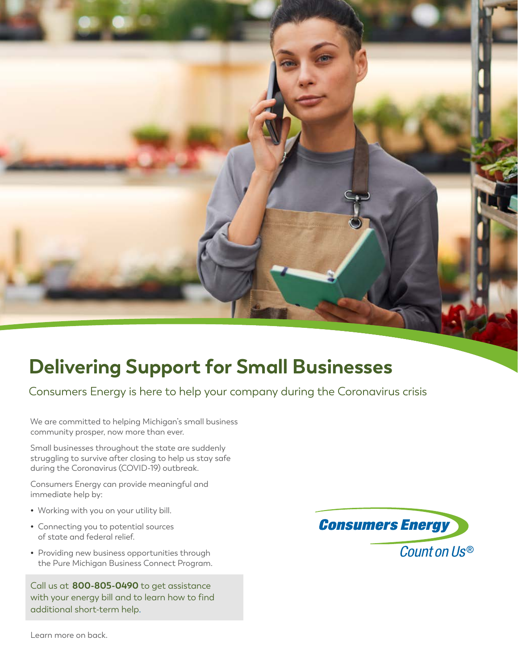

# **Delivering Support for Small Businesses**

Consumers Energy is here to help your company during the Coronavirus crisis

We are committed to helping Michigan's small business community prosper, now more than ever.

Small businesses throughout the state are suddenly struggling to survive after closing to help us stay safe during the Coronavirus (COVID-19) outbreak.

Consumers Energy can provide meaningful and immediate help by:

- **•** Working with you on your utility bill.
- **•** Connecting you to potential sources of state and federal relief.
- **•** Providing new business opportunities through the Pure Michigan Business Connect Program.

Call us at **800-805-0490** to get assistance with your energy bill and to learn how to find additional short-term help.



Learn more on back.